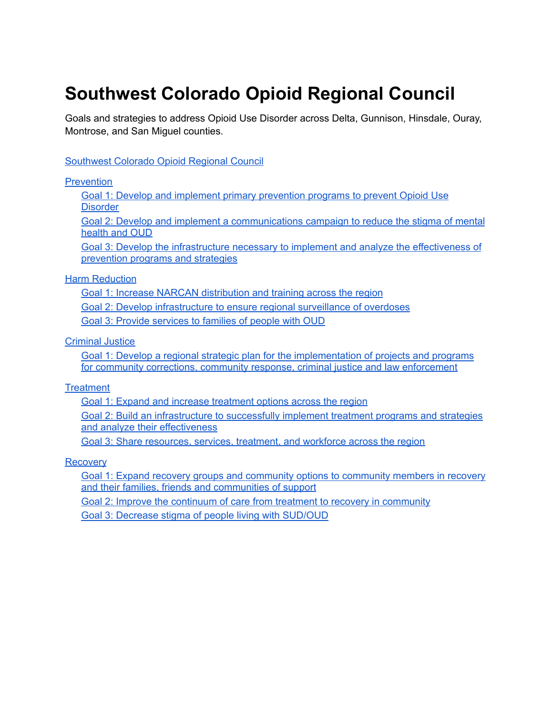# <span id="page-0-0"></span>**Southwest Colorado Opioid Regional Council**

Goals and strategies to address Opioid Use Disorder across Delta, Gunnison, Hinsdale, Ouray, Montrose, and San Miguel counties.

### [Southwest](#page-0-0) Colorado Opioid Regional Council

#### **[Prevention](#page-1-0)**

Goal 1: Develop and implement primary [prevention](#page-1-1) programs to prevent Opioid Use **[Disorder](#page-1-1)** 

Goal 2: Develop and implement a [communications](#page-1-2) campaign to reduce the stigma of mental [health](#page-1-2) and OUD

Goal 3: Develop the [infrastructure](#page-2-0) necessary to implement and analyze the effectiveness of [prevention](#page-2-0) programs and strategies

#### **Harm [Reduction](#page-3-0)**

Goal 1: Increase NARCAN [distribution](#page-3-1) and training across the region Goal 2: Develop [infrastructure](#page-3-2) to ensure regional surveillance of overdoses Goal 3: Provide [services](#page-3-3) to families of people with OUD

[Criminal](#page-4-0) Justice

Goal 1: Develop a regional strategic plan for the [implementation](#page-4-1) of projects and programs for community corrections, community response, criminal justice and law [enforcement](#page-4-1)

### **[Treatment](#page-5-0)**

Goal 1: Expand and increase [treatment](#page-5-1) options across the region

Goal 2: Build an [infrastructure](#page-5-2) to successfully implement treatment programs and strategies and analyze their [effectiveness](#page-5-2)

Goal 3: Share [resources,](#page-6-0) services, treatment, and workforce across the region

### **[Recovery](#page-7-0)**

Goal 1: Expand recovery groups and community options to [community](#page-7-1) members in recovery and their families, friends and [communities](#page-7-1) of support

Goal 2: Improve the continuum of care from treatment to recovery in [community](#page-7-2)

Goal 3: Decrease stigma of people living with [SUD/OUD](#page-7-3)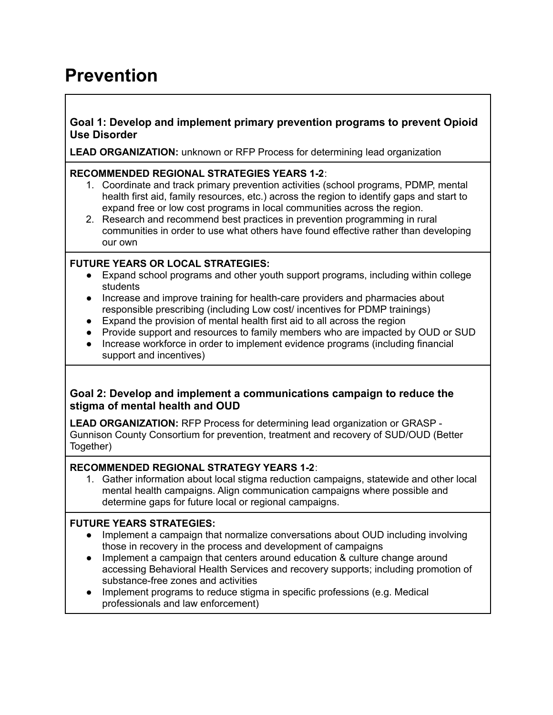## <span id="page-1-0"></span>**Prevention**

## <span id="page-1-1"></span>**Goal 1: Develop and implement primary prevention programs to prevent Opioid Use Disorder**

**LEAD ORGANIZATION:** unknown or RFP Process for determining lead organization

### **RECOMMENDED REGIONAL STRATEGIES YEARS 1-2**:

- 1. Coordinate and track primary prevention activities (school programs, PDMP, mental health first aid, family resources, etc.) across the region to identify gaps and start to expand free or low cost programs in local communities across the region.
- 2. Research and recommend best practices in prevention programming in rural communities in order to use what others have found effective rather than developing our own

## **FUTURE YEARS OR LOCAL STRATEGIES:**

- Expand school programs and other youth support programs, including within college students
- Increase and improve training for health-care providers and pharmacies about responsible prescribing (including Low cost/ incentives for PDMP trainings)
- Expand the provision of mental health first aid to all across the region
- Provide support and resources to family members who are impacted by OUD or SUD
- Increase workforce in order to implement evidence programs (including financial support and incentives)

## <span id="page-1-2"></span>**Goal 2: Develop and implement a communications campaign to reduce the stigma of mental health and OUD**

**LEAD ORGANIZATION:** RFP Process for determining lead organization or GRASP - Gunnison County Consortium for prevention, treatment and recovery of SUD/OUD (Better Together)

## **RECOMMENDED REGIONAL STRATEGY YEARS 1-2**:

1. Gather information about local stigma reduction campaigns, statewide and other local mental health campaigns. Align communication campaigns where possible and determine gaps for future local or regional campaigns.

## **FUTURE YEARS STRATEGIES:**

- Implement a campaign that normalize conversations about OUD including involving those in recovery in the process and development of campaigns
- Implement a campaign that centers around education & culture change around accessing Behavioral Health Services and recovery supports; including promotion of substance-free zones and activities
- Implement programs to reduce stigma in specific professions (e.g. Medical professionals and law enforcement)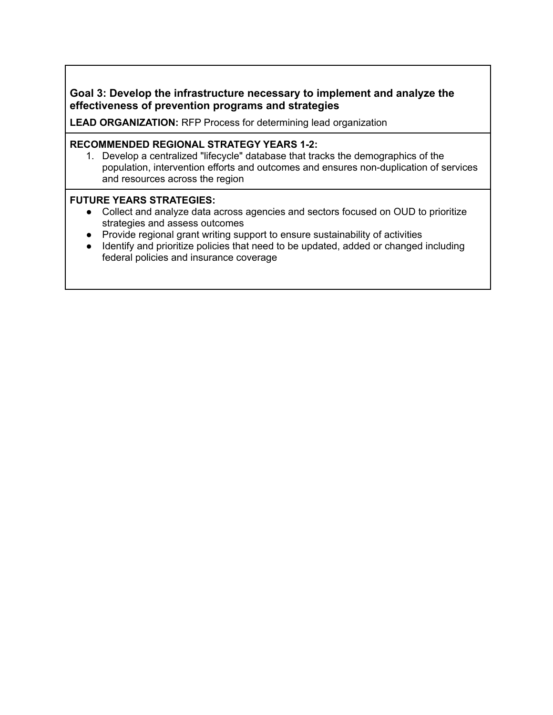## <span id="page-2-0"></span>**Goal 3: Develop the infrastructure necessary to implement and analyze the effectiveness of prevention programs and strategies**

**LEAD ORGANIZATION:** RFP Process for determining lead organization

### **RECOMMENDED REGIONAL STRATEGY YEARS 1-2:**

1. Develop a centralized "lifecycle" database that tracks the demographics of the population, intervention efforts and outcomes and ensures non-duplication of services and resources across the region

### **FUTURE YEARS STRATEGIES:**

- Collect and analyze data across agencies and sectors focused on OUD to prioritize strategies and assess outcomes
- Provide regional grant writing support to ensure sustainability of activities
- Identify and prioritize policies that need to be updated, added or changed including federal policies and insurance coverage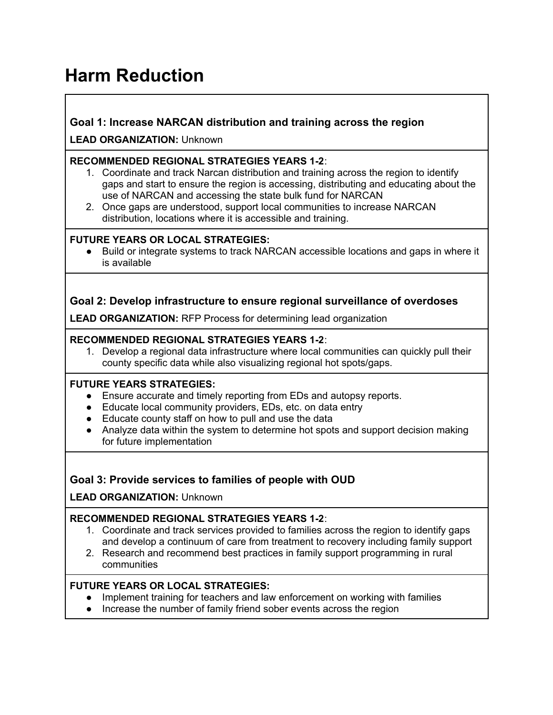# <span id="page-3-0"></span>**Harm Reduction**

## <span id="page-3-1"></span>**Goal 1: Increase NARCAN distribution and training across the region**

**LEAD ORGANIZATION:** Unknown

### **RECOMMENDED REGIONAL STRATEGIES YEARS 1-2**:

- 1. Coordinate and track Narcan distribution and training across the region to identify gaps and start to ensure the region is accessing, distributing and educating about the use of NARCAN and accessing the state bulk fund for NARCAN
- 2. Once gaps are understood, support local communities to increase NARCAN distribution, locations where it is accessible and training.

### **FUTURE YEARS OR LOCAL STRATEGIES:**

Build or integrate systems to track NARCAN accessible locations and gaps in where it is available

## <span id="page-3-2"></span>**Goal 2: Develop infrastructure to ensure regional surveillance of overdoses**

**LEAD ORGANIZATION:** RFP Process for determining lead organization

### **RECOMMENDED REGIONAL STRATEGIES YEARS 1-2**:

1. Develop a regional data infrastructure where local communities can quickly pull their county specific data while also visualizing regional hot spots/gaps.

### **FUTURE YEARS STRATEGIES:**

- **●** Ensure accurate and timely reporting from EDs and autopsy reports.
- Educate local community providers, EDs, etc. on data entry
- Educate county staff on how to pull and use the data
- Analyze data within the system to determine hot spots and support decision making for future implementation

## <span id="page-3-3"></span>**Goal 3: Provide services to families of people with OUD**

**LEAD ORGANIZATION:** Unknown

## **RECOMMENDED REGIONAL STRATEGIES YEARS 1-2**:

- 1. Coordinate and track services provided to families across the region to identify gaps and develop a continuum of care from treatment to recovery including family support
- 2. Research and recommend best practices in family support programming in rural communities

- Implement training for teachers and law enforcement on working with families
- Increase the number of family friend sober events across the region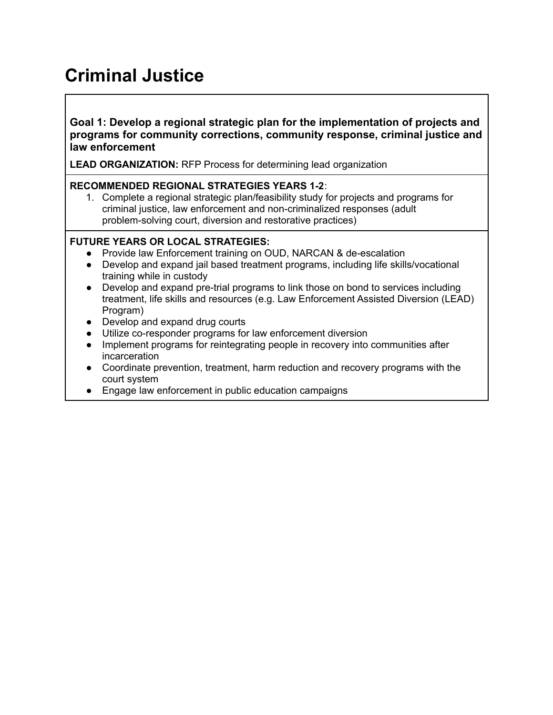# <span id="page-4-0"></span>**Criminal Justice**

**Goal 1: Develop a regional strategic plan for the implementation of projects and programs for community corrections, community response, criminal justice and law enforcement**

<span id="page-4-1"></span>**LEAD ORGANIZATION:** RFP Process for determining lead organization

### **RECOMMENDED REGIONAL STRATEGIES YEARS 1-2**:

1. Complete a regional strategic plan/feasibility study for projects and programs for criminal justice, law enforcement and non-criminalized responses (adult problem-solving court, diversion and restorative practices)

- Provide law Enforcement training on OUD, NARCAN & de-escalation
- Develop and expand jail based treatment programs, including life skills/vocational training while in custody
- Develop and expand pre-trial programs to link those on bond to services including treatment, life skills and resources (e.g. Law Enforcement Assisted Diversion (LEAD) Program)
- Develop and expand drug courts
- Utilize co-responder programs for law enforcement diversion
- Implement programs for reintegrating people in recovery into communities after incarceration
- Coordinate prevention, treatment, harm reduction and recovery programs with the court system
- Engage law enforcement in public education campaigns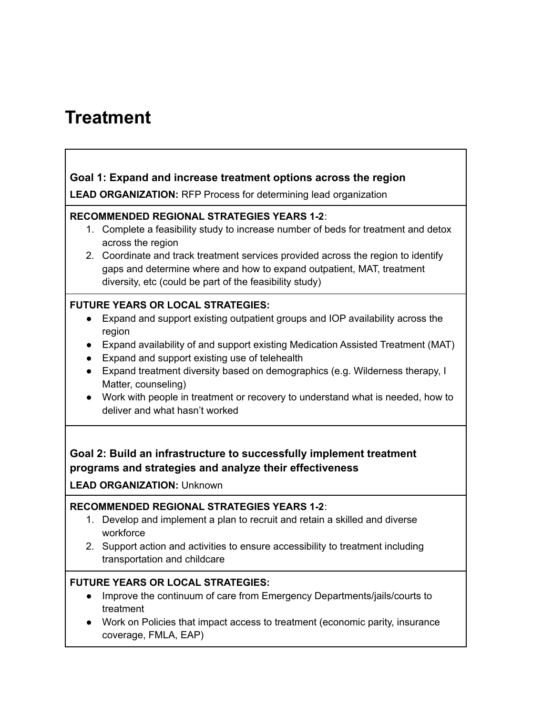## <span id="page-5-0"></span>**Treatment**

## <span id="page-5-1"></span>**Goal 1: Expand and increase treatment options across the region**

**LEAD ORGANIZATION:** RFP Process for determining lead organization

### **RECOMMENDED REGIONAL STRATEGIES YEARS 1-2**:

- 1. Complete a feasibility study to increase number of beds for treatment and detox across the region
- 2. Coordinate and track treatment services provided across the region to identify gaps and determine where and how to expand outpatient, MAT, treatment diversity, etc (could be part of the feasibility study)

### **FUTURE YEARS OR LOCAL STRATEGIES:**

- Expand and support existing outpatient groups and IOP availability across the region
- Expand availability of and support existing Medication Assisted Treatment (MAT)
- Expand and support existing use of telehealth
- Expand treatment diversity based on demographics (e.g. Wilderness therapy, I Matter, counseling)
- Work with people in treatment or recovery to understand what is needed, how to deliver and what hasn't worked

## <span id="page-5-2"></span>**Goal 2: Build an infrastructure to successfully implement treatment programs and strategies and analyze their effectiveness**

### **LEAD ORGANIZATION:** Unknown

## **RECOMMENDED REGIONAL STRATEGIES YEARS 1-2**:

- 1. Develop and implement a plan to recruit and retain a skilled and diverse workforce
- 2. Support action and activities to ensure accessibility to treatment including transportation and childcare

- Improve the continuum of care from Emergency Departments/jails/courts to treatment
- Work on Policies that impact access to treatment (economic parity, insurance coverage, FMLA, EAP)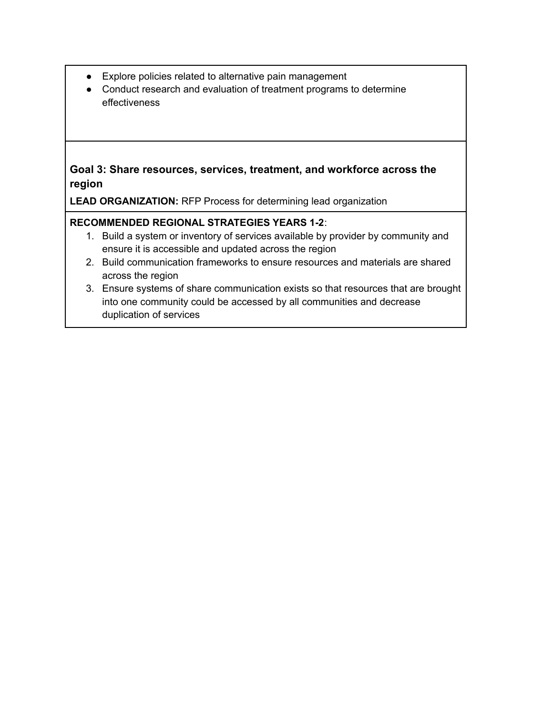- Explore policies related to alternative pain management
- Conduct research and evaluation of treatment programs to determine effectiveness

## <span id="page-6-0"></span>**Goal 3: Share resources, services, treatment, and workforce across the region**

**LEAD ORGANIZATION:** RFP Process for determining lead organization

## **RECOMMENDED REGIONAL STRATEGIES YEARS 1-2**:

- 1. Build a system or inventory of services available by provider by community and ensure it is accessible and updated across the region
- 2. Build communication frameworks to ensure resources and materials are shared across the region
- 3. Ensure systems of share communication exists so that resources that are brought into one community could be accessed by all communities and decrease duplication of services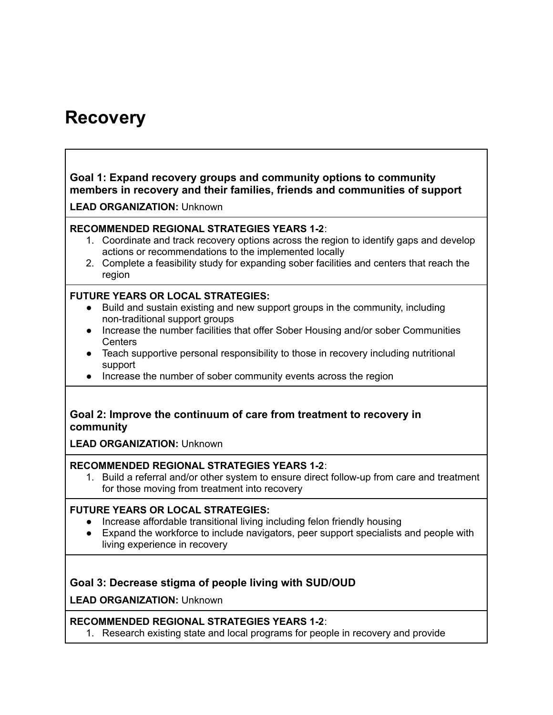## <span id="page-7-0"></span>**Recovery**

## <span id="page-7-1"></span>**Goal 1: Expand recovery groups and community options to community members in recovery and their families, friends and communities of support**

**LEAD ORGANIZATION:** Unknown

### **RECOMMENDED REGIONAL STRATEGIES YEARS 1-2**:

- 1. Coordinate and track recovery options across the region to identify gaps and develop actions or recommendations to the implemented locally
- 2. Complete a feasibility study for expanding sober facilities and centers that reach the region

### **FUTURE YEARS OR LOCAL STRATEGIES:**

- Build and sustain existing and new support groups in the community, including non-traditional support groups
- Increase the number facilities that offer Sober Housing and/or sober Communities **Centers**
- Teach supportive personal responsibility to those in recovery including nutritional support
- Increase the number of sober community events across the region

### <span id="page-7-2"></span>**Goal 2: Improve the continuum of care from treatment to recovery in community**

**LEAD ORGANIZATION:** Unknown

### **RECOMMENDED REGIONAL STRATEGIES YEARS 1-2**:

1. Build a referral and/or other system to ensure direct follow-up from care and treatment for those moving from treatment into recovery

### **FUTURE YEARS OR LOCAL STRATEGIES:**

- Increase affordable transitional living including felon friendly housing
- Expand the workforce to include navigators, peer support specialists and people with living experience in recovery

## <span id="page-7-3"></span>**Goal 3: Decrease stigma of people living with SUD/OUD**

**LEAD ORGANIZATION:** Unknown

## **RECOMMENDED REGIONAL STRATEGIES YEARS 1-2**:

1. Research existing state and local programs for people in recovery and provide